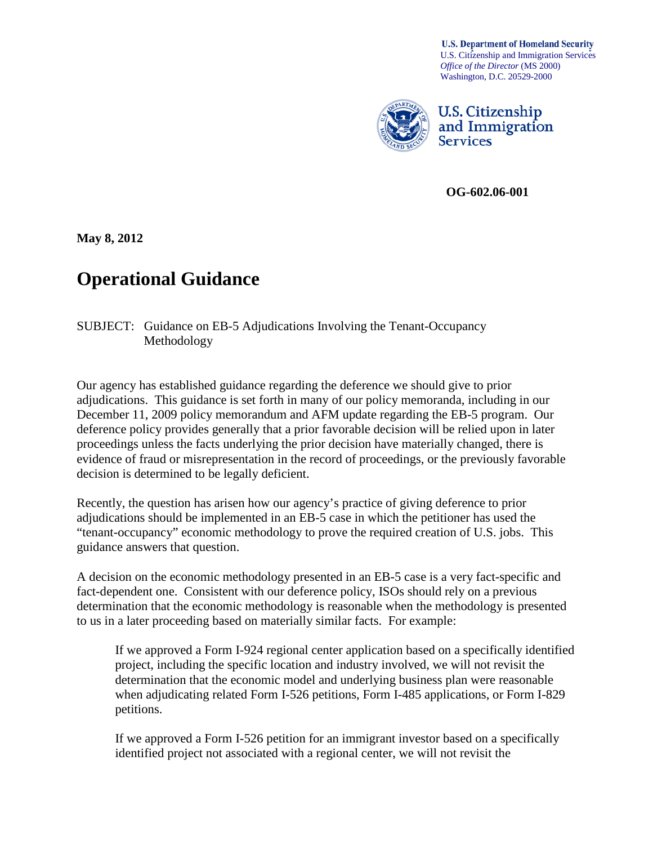**U.S. Department of Homeland Security** U.S. Citizenship and Immigration Services *Office of the Director* (MS 2000) Washington, D.C. 20529-2000



**U.S. Citizenship** and Immigration **Services** 

**PMOG-602.06-001** 

**May 8, 2012**

## **Operational Guidance**

SUBJECT: Guidance on EB-5 Adjudications Involving the Tenant-Occupancy Methodology

Our agency has established guidance regarding the deference we should give to prior adjudications. This guidance is set forth in many of our policy memoranda, including in our December 11, 2009 policy memorandum and AFM update regarding the EB-5 program. Our deference policy provides generally that a prior favorable decision will be relied upon in later proceedings unless the facts underlying the prior decision have materially changed, there is evidence of fraud or misrepresentation in the record of proceedings, or the previously favorable decision is determined to be legally deficient.

Recently, the question has arisen how our agency's practice of giving deference to prior adjudications should be implemented in an EB-5 case in which the petitioner has used the "tenant-occupancy" economic methodology to prove the required creation of U.S. jobs. This guidance answers that question.

A decision on the economic methodology presented in an EB-5 case is a very fact-specific and fact-dependent one. Consistent with our deference policy, ISOs should rely on a previous determination that the economic methodology is reasonable when the methodology is presented to us in a later proceeding based on materially similar facts. For example:

If we approved a Form I-924 regional center application based on a specifically identified project, including the specific location and industry involved, we will not revisit the determination that the economic model and underlying business plan were reasonable when adjudicating related Form I-526 petitions, Form I-485 applications, or Form I-829 petitions.

If we approved a Form I-526 petition for an immigrant investor based on a specifically identified project not associated with a regional center, we will not revisit the